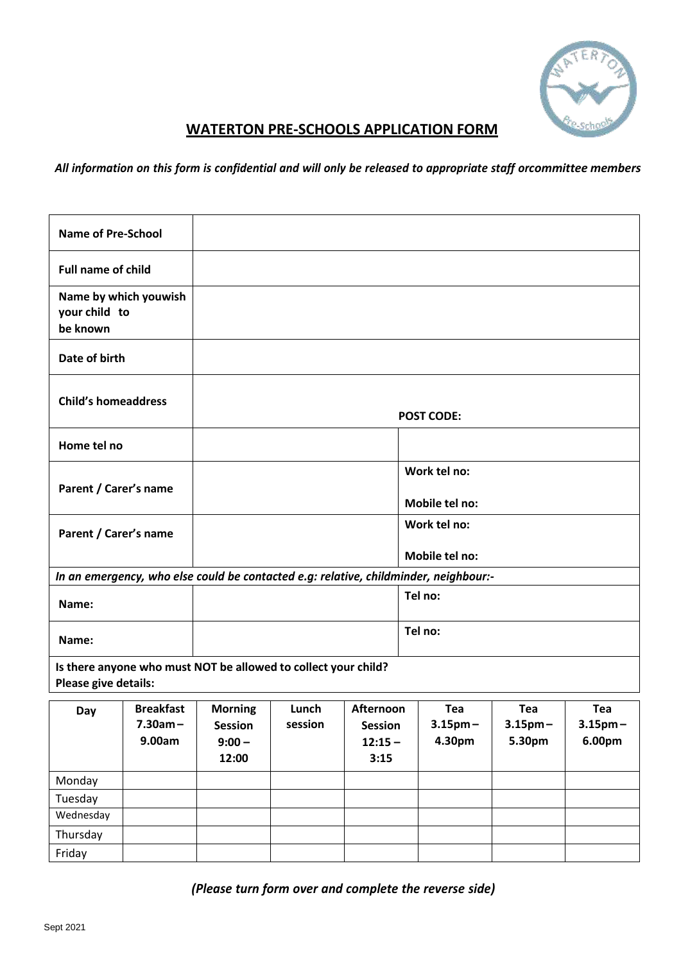

## **WATERTON PRE-SCHOOLS APPLICATION FORM**

All information on this form is confidential and will only be released to appropriate staff orcommittee members

| <b>Name of Pre-School</b>                                                              |                                          |                                                                                      |                  |                                                  |                                |                                |                                |  |  |  |
|----------------------------------------------------------------------------------------|------------------------------------------|--------------------------------------------------------------------------------------|------------------|--------------------------------------------------|--------------------------------|--------------------------------|--------------------------------|--|--|--|
| <b>Full name of child</b>                                                              |                                          |                                                                                      |                  |                                                  |                                |                                |                                |  |  |  |
| Name by which youwish<br>your child to<br>be known                                     |                                          |                                                                                      |                  |                                                  |                                |                                |                                |  |  |  |
| Date of birth                                                                          |                                          |                                                                                      |                  |                                                  |                                |                                |                                |  |  |  |
| <b>Child's homeaddress</b>                                                             |                                          | <b>POST CODE:</b>                                                                    |                  |                                                  |                                |                                |                                |  |  |  |
| Home tel no                                                                            |                                          |                                                                                      |                  |                                                  |                                |                                |                                |  |  |  |
| Parent / Carer's name                                                                  |                                          |                                                                                      |                  |                                                  | Work tel no:<br>Mobile tel no: |                                |                                |  |  |  |
| Parent / Carer's name                                                                  |                                          |                                                                                      |                  |                                                  | Work tel no:<br>Mobile tel no: |                                |                                |  |  |  |
|                                                                                        |                                          | In an emergency, who else could be contacted e.g: relative, childminder, neighbour:- |                  |                                                  |                                |                                |                                |  |  |  |
| Name:                                                                                  |                                          |                                                                                      |                  |                                                  | Tel no:                        |                                |                                |  |  |  |
| Name:                                                                                  |                                          |                                                                                      |                  |                                                  | Tel no:                        |                                |                                |  |  |  |
| Is there anyone who must NOT be allowed to collect your child?<br>Please give details: |                                          |                                                                                      |                  |                                                  |                                |                                |                                |  |  |  |
| Day                                                                                    | <b>Breakfast</b><br>$7.30am -$<br>9.00am | <b>Morning</b><br><b>Session</b><br>$9:00 -$<br>12:00                                | Lunch<br>session | Afternoon<br><b>Session</b><br>$12:15 -$<br>3:15 | Tea<br>$3.15$ pm $-$<br>4.30pm | Tea<br>$3.15$ pm $-$<br>5.30pm | Tea<br>$3.15$ pm $-$<br>6.00pm |  |  |  |
| Monday                                                                                 |                                          |                                                                                      |                  |                                                  |                                |                                |                                |  |  |  |
| Tuesday                                                                                |                                          |                                                                                      |                  |                                                  |                                |                                |                                |  |  |  |
| Wednesday                                                                              |                                          |                                                                                      |                  |                                                  |                                |                                |                                |  |  |  |
| Thursday                                                                               |                                          |                                                                                      |                  |                                                  |                                |                                |                                |  |  |  |
| Friday                                                                                 |                                          |                                                                                      |                  |                                                  |                                |                                |                                |  |  |  |

*(Please turn form over and complete the reverse side)*